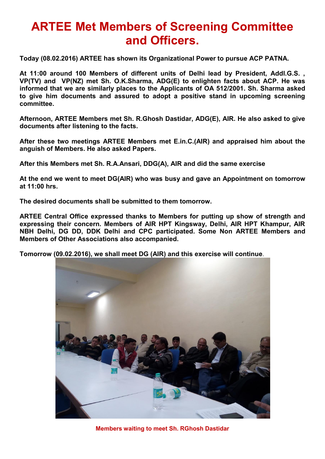## **ARTEE Met Members of Screening Committee and Officers.**

**Today (08.02.2016) ARTEE has shown its Organizational Power to pursue ACP PATNA.** 

**At 11:00 around 100 Members of different units of Delhi lead by President, Addl.G.S. , VP(TV) and VP(NZ) met Sh. O.K.Sharma, ADG(E) to enlighten facts about ACP. He was informed that we are similarly places to the Applicants of OA 512/2001. Sh. Sharma asked to give him documents and assured to adopt a positive stand in upcoming screening committee.** 

**Afternoon, ARTEE Members met Sh. R.Ghosh Dastidar, ADG(E), AIR. He also asked to give documents after listening to the facts.** 

**After these two meetings ARTEE Members met E.in.C.(AIR) and appraised him about the anguish of Members. He also asked Papers.** 

**After this Members met Sh. R.A.Ansari, DDG(A), AIR and did the same exercise** 

**At the end we went to meet DG(AIR) who was busy and gave an Appointment on tomorrow at 11:00 hrs.** 

**The desired documents shall be submitted to them tomorrow.** 

**ARTEE Central Office expressed thanks to Members for putting up show of strength and expressing their concern. Members of AIR HPT Kingsway, Delhi, AIR HPT Khampur, AIR NBH Delhi, DG DD, DDK Delhi and CPC participated. Some Non ARTEE Members and Members of Other Associations also accompanied.** 

**Tomorrow (09.02.2016), we shall meet DG (AIR) and this exercise will continue**.



**Members waiting to meet Sh. RGhosh Dastidar**